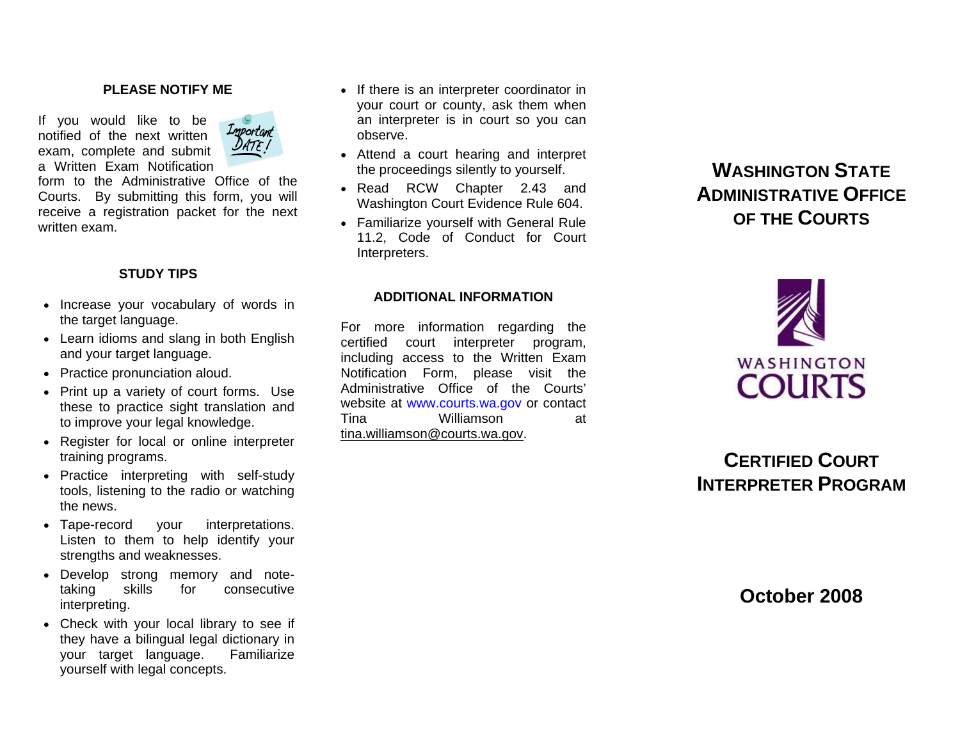#### **PLEASE NOTIFY ME**

If you would like to be notified of the next written exam, complete and submit a Written Exam Notification



form to the Administrative Office of the Courts. By submitting this form, you will receive a registration packet for the next written exam.

# **STUDY TIPS**

- Increase your vocabulary of words in the target language.
- Learn idioms and slang in both English and your target language.
- Practice pronunciation aloud.
- Print up a variety of court forms. Use these to practice sight translation and to improve your legal knowledge.
- Register for local or online interpreter training programs.
- Practice interpreting with self-study tools, listening to the radio or watching the news.
- Tape-record your interpretations. Listen to them to help identify your strengths and weaknesses.
- Develop strong memory and notetaking skills for consecutive interpreting.
- Check with your local library to see if they have a bilingual legal dictionary in your target language. Familiarize yourself with legal concepts.
- If there is an interpreter coordinator in your court or county, ask them when an interpreter is in court so you can observe.
- Attend a court hearing and interpret the proceedings silently to yourself.
- Read RCW Chapter 2.43 and Washington Court Evidence Rule 604.
- Familiarize yourself with General Rule 11.2, Code of Conduct for Court Interpreters.

## **ADDITIONAL INFORMATION**

For more information regarding the certified court interpreter program, including access to the Written Exam Notification Form, please visit the Administrative Office of the Courts' website at [www.courts.wa.gov](http://www.courts.wa.gov/) or contact Tina Williamson at [tina.williamson@courts.wa.gov](mailto:tina.williamson@courts.wa.gov).

# **WASHINGTON STATEADMINISTRATIVE OFFICEOF THE COURTS**



# $\sf C$ ERTIFIED  $\sf COURT$ **INTERPRETER PROGRAM**

**October 2008**